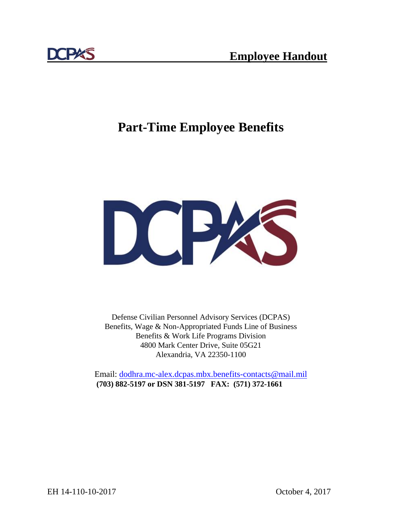

# **Part-Time Employee Benefits**



Defense Civilian Personnel Advisory Services (DCPAS) Benefits, Wage & Non-Appropriated Funds Line of Business Benefits & Work Life Programs Division 4800 Mark Center Drive, Suite 05G21 Alexandria, VA 22350-1100

Email: [dodhra.mc-alex.dcpas.mbx.benefits-contacts@mail.mil](mailto:dodhra.mc-alex.dcpas.mbx.benefits-contacts@mail.mil) **(703) 882-5197 or DSN 381-5197 FAX: (571) 372-1661**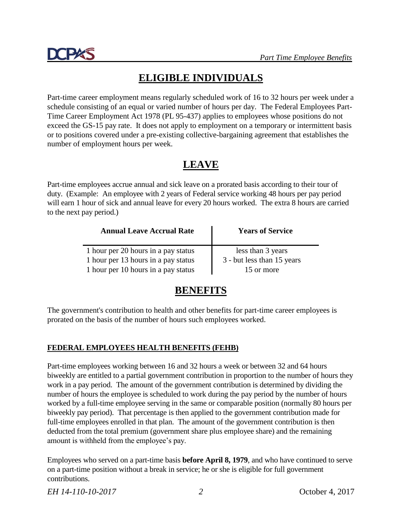

## **ELIGIBLE INDIVIDUALS**

Part-time career employment means regularly scheduled work of 16 to 32 hours per week under a schedule consisting of an equal or varied number of hours per day. The Federal Employees Part-Time Career Employment Act 1978 (PL 95-437) applies to employees whose positions do not exceed the GS-15 pay rate. It does not apply to employment on a temporary or intermittent basis or to positions covered under a pre-existing collective-bargaining agreement that establishes the number of employment hours per week.

## **LEAVE**

Part-time employees accrue annual and sick leave on a prorated basis according to their tour of duty. (Example: An employee with 2 years of Federal service working 48 hours per pay period will earn 1 hour of sick and annual leave for every 20 hours worked. The extra 8 hours are carried to the next pay period.)

| <b>Annual Leave Accrual Rate</b>    | <b>Years of Service</b>    |  |
|-------------------------------------|----------------------------|--|
| 1 hour per 20 hours in a pay status | less than 3 years          |  |
| 1 hour per 13 hours in a pay status | 3 - but less than 15 years |  |
| 1 hour per 10 hours in a pay status | 15 or more                 |  |

## **BENEFITS**

The government's contribution to health and other benefits for part-time career employees is prorated on the basis of the number of hours such employees worked.

### **FEDERAL EMPLOYEES HEALTH BENEFITS (FEHB)**

Part-time employees working between 16 and 32 hours a week or between 32 and 64 hours biweekly are entitled to a partial government contribution in proportion to the number of hours they work in a pay period. The amount of the government contribution is determined by dividing the number of hours the employee is scheduled to work during the pay period by the number of hours worked by a full-time employee serving in the same or comparable position (normally 80 hours per biweekly pay period). That percentage is then applied to the government contribution made for full-time employees enrolled in that plan. The amount of the government contribution is then deducted from the total premium (government share plus employee share) and the remaining amount is withheld from the employee's pay.

Employees who served on a part-time basis **before April 8, 1979**, and who have continued to serve on a part-time position without a break in service; he or she is eligible for full government contributions.

*EH 14-110-10-2017 2* October 4, 2017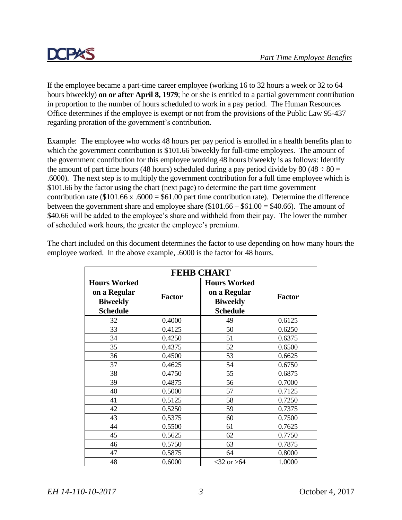

If the employee became a part-time career employee (working 16 to 32 hours a week or 32 to 64 hours biweekly) **on or after April 8, 1979**; he or she is entitled to a partial government contribution in proportion to the number of hours scheduled to work in a pay period. The Human Resources Office determines if the employee is exempt or not from the provisions of the Public Law 95-437 regarding proration of the government's contribution.

Example: The employee who works 48 hours per pay period is enrolled in a health benefits plan to which the government contribution is \$101.66 biweekly for full-time employees. The amount of the government contribution for this employee working 48 hours biweekly is as follows: Identify the amount of part time hours (48 hours) scheduled during a pay period divide by 80 (48  $\div$  80 = .6000). The next step is to multiply the government contribution for a full time employee which is \$101.66 by the factor using the chart (next page) to determine the part time government contribution rate ( $$101.66 \text{ x}$ .6000 =  $$61.00 \text{ part time contribution rate}$ ). Determine the difference between the government share and employee share  $(\$101.66 - \$61.00 = \$40.66)$ . The amount of \$40.66 will be added to the employee's share and withheld from their pay. The lower the number of scheduled work hours, the greater the employee's premium.

| <b>FEHB CHART</b>                                                         |               |                                                                           |               |
|---------------------------------------------------------------------------|---------------|---------------------------------------------------------------------------|---------------|
| <b>Hours Worked</b><br>on a Regular<br><b>Biweekly</b><br><b>Schedule</b> | <b>Factor</b> | <b>Hours Worked</b><br>on a Regular<br><b>Biweekly</b><br><b>Schedule</b> | <b>Factor</b> |
| 32                                                                        | 0.4000        | 49                                                                        | 0.6125        |
| 33                                                                        | 0.4125        | 50                                                                        | 0.6250        |
| 34                                                                        | 0.4250        | 51                                                                        | 0.6375        |
| 35                                                                        | 0.4375        | 52                                                                        | 0.6500        |
| 36                                                                        | 0.4500        | 53                                                                        | 0.6625        |
| 37                                                                        | 0.4625        | 54                                                                        | 0.6750        |
| 38                                                                        | 0.4750        | 55                                                                        | 0.6875        |
| 39                                                                        | 0.4875        | 56                                                                        | 0.7000        |
| 40                                                                        | 0.5000        | 57                                                                        | 0.7125        |
| 41                                                                        | 0.5125        | 58                                                                        | 0.7250        |
| 42                                                                        | 0.5250        | 59                                                                        | 0.7375        |
| 43                                                                        | 0.5375        | 60                                                                        | 0.7500        |
| 44                                                                        | 0.5500        | 61                                                                        | 0.7625        |
| 45                                                                        | 0.5625        | 62                                                                        | 0.7750        |
| 46                                                                        | 0.5750        | 63                                                                        | 0.7875        |
| 47                                                                        | 0.5875        | 64                                                                        | 0.8000        |
| 48                                                                        | 0.6000        | $<$ 32 or $>$ 64                                                          | 1.0000        |

The chart included on this document determines the factor to use depending on how many hours the employee worked. In the above example, .6000 is the factor for 48 hours.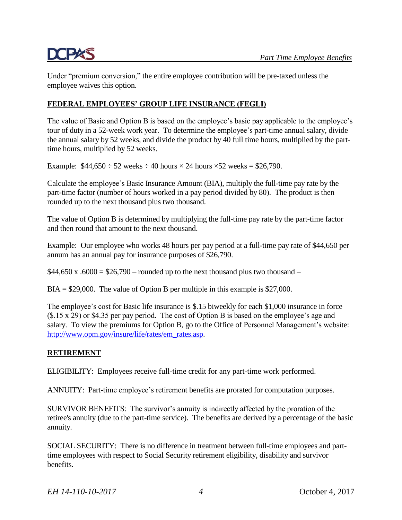Under "premium conversion," the entire employee contribution will be pre-taxed unless the employee waives this option.

### **FEDERAL EMPLOYEES' GROUP LIFE INSURANCE (FEGLI)**

The value of Basic and Option B is based on the employee's basic pay applicable to the employee's tour of duty in a 52-week work year. To determine the employee's part-time annual salary, divide the annual salary by 52 weeks, and divide the product by 40 full time hours, multiplied by the parttime hours, multiplied by 52 weeks.

Example:  $$44,650 \div 52$  weeks  $\div 40$  hours  $\times 24$  hours  $\times 52$  weeks = \$26,790.

Calculate the employee's Basic Insurance Amount (BIA), multiply the full-time pay rate by the part-time factor (number of hours worked in a pay period divided by 80). The product is then rounded up to the next thousand plus two thousand.

The value of Option B is determined by multiplying the full-time pay rate by the part-time factor and then round that amount to the next thousand.

Example: Our employee who works 48 hours per pay period at a full-time pay rate of \$44,650 per annum has an annual pay for insurance purposes of \$26,790.

 $$44,650 \times .6000 = $26,790$  – rounded up to the next thousand plus two thousand –

 $BIA = $29,000$ . The value of Option B per multiple in this example is \$27,000.

The employee's cost for Basic life insurance is \$.15 biweekly for each \$1,000 insurance in force (\$.15 x 29) or \$4.35 per pay period. The cost of Option B is based on the employee's age and salary. To view the premiums for Option B, go to the Office of Personnel Management's website: [http://www.opm.gov/insure/life/rates/em\\_rates.asp.](http://www.opm.gov/insure/life/rates/em_rates.asp)

#### **RETIREMENT**

ELIGIBILITY: Employees receive full-time credit for any part-time work performed.

ANNUITY: Part-time employee's retirement benefits are prorated for computation purposes.

SURVIVOR BENEFITS: The survivor's annuity is indirectly affected by the proration of the retiree's annuity (due to the part-time service). The benefits are derived by a percentage of the basic annuity.

SOCIAL SECURITY: There is no difference in treatment between full-time employees and parttime employees with respect to Social Security retirement eligibility, disability and survivor benefits.